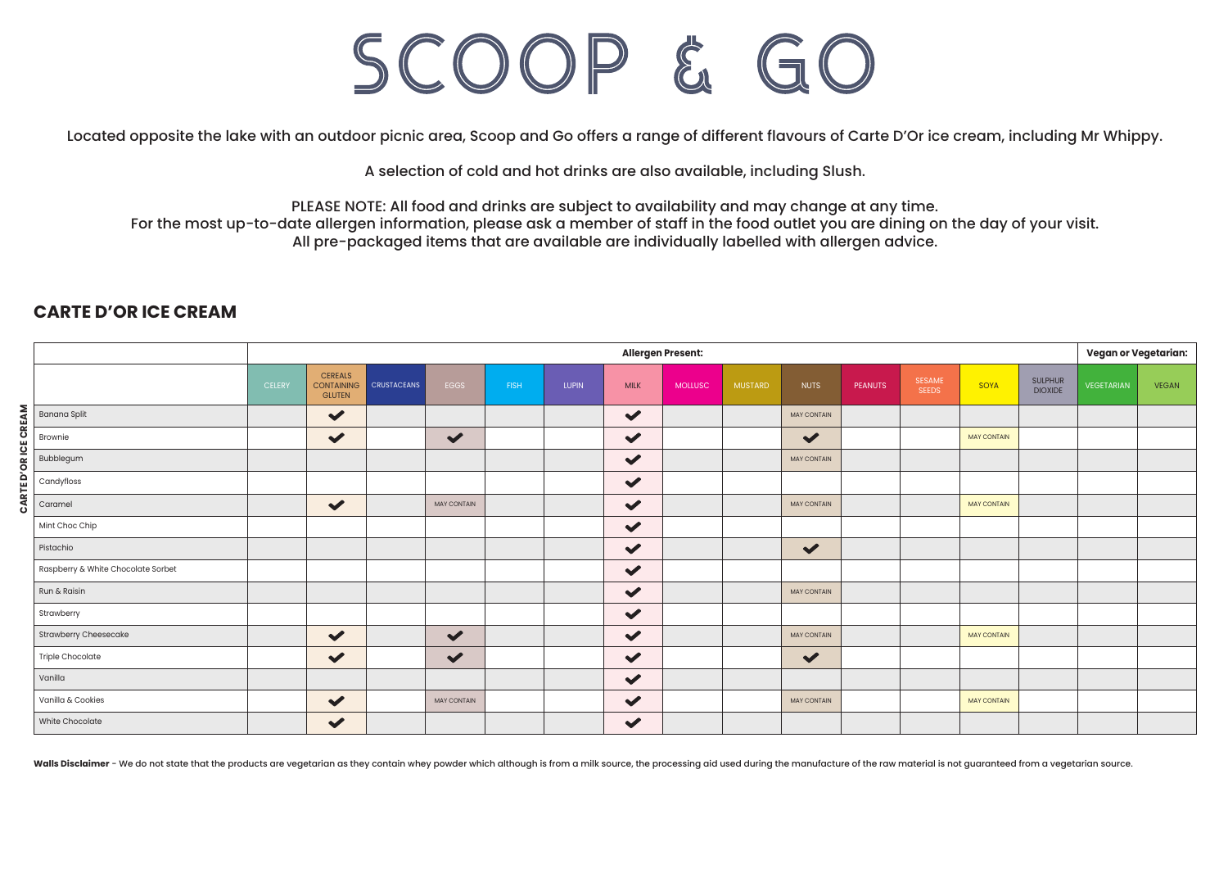## SCOOP & GO

Located opposite the lake with an outdoor picnic area, Scoop and Go offers a range of different flavours of Carte D'Or ice cream, including Mr Whippy.

A selection of cold and hot drinks are also available, including Slush.

PLEASE NOTE: All food and drinks are subject to availability and may change at any time.

For the most up-to-date allergen information, please ask a member of staff in the food outlet you are dining on the day of your visit. All pre-packaged items that are available are individually labelled with allergen advice.

|                    |                                    |               | <b>Vegan or Vegetarian:</b><br>Allergen Present:     |                    |                      |             |              |                      |                |                |                      |                      |                               |                    |                                  |            |              |
|--------------------|------------------------------------|---------------|------------------------------------------------------|--------------------|----------------------|-------------|--------------|----------------------|----------------|----------------|----------------------|----------------------|-------------------------------|--------------------|----------------------------------|------------|--------------|
|                    |                                    | <b>CELERY</b> | <b>CEREALS</b><br><b>CONTAINING</b><br><b>GLUTEN</b> | <b>CRUSTACEANS</b> | EGGS                 | <b>FISH</b> | <b>LUPIN</b> | <b>MILK</b>          | <b>MOLLUSC</b> | <b>MUSTARD</b> | <b>NUTS</b>          | PEANUTS <sup>1</sup> | <b>SESAME</b><br><b>SEEDS</b> | SOYA               | <b>SULPHUR</b><br><b>DIOXIDE</b> | VEGETARIAN | <b>VEGAN</b> |
|                    | <b>Banana Split</b>                |               | $\blacktriangledown$                                 |                    |                      |             |              | $\blacktriangledown$ |                |                | <b>MAY CONTAIN</b>   |                      |                               |                    |                                  |            |              |
|                    | Brownie                            |               | $\checkmark$                                         |                    | $\blacktriangledown$ |             |              | $\blacktriangledown$ |                |                | $\blacktriangledown$ |                      |                               | <b>MAY CONTAIN</b> |                                  |            |              |
|                    | Bubblegum                          |               |                                                      |                    |                      |             |              | $\blacktriangledown$ |                |                | <b>MAY CONTAIN</b>   |                      |                               |                    |                                  |            |              |
| CARTED'ORICE CREAM | Candyfloss                         |               |                                                      |                    |                      |             |              | $\checkmark$         |                |                |                      |                      |                               |                    |                                  |            |              |
|                    | Caramel                            |               | $\checkmark$                                         |                    | <b>MAY CONTAIN</b>   |             |              | $\checkmark$         |                |                | <b>MAY CONTAIN</b>   |                      |                               | <b>MAY CONTAIN</b> |                                  |            |              |
|                    | Mint Choc Chip                     |               |                                                      |                    |                      |             |              | $\checkmark$         |                |                |                      |                      |                               |                    |                                  |            |              |
|                    | Pistachio                          |               |                                                      |                    |                      |             |              | $\checkmark$         |                |                | $\blacktriangledown$ |                      |                               |                    |                                  |            |              |
|                    | Raspberry & White Chocolate Sorbet |               |                                                      |                    |                      |             |              | $\blacktriangledown$ |                |                |                      |                      |                               |                    |                                  |            |              |
|                    | Run & Raisin                       |               |                                                      |                    |                      |             |              | $\blacktriangledown$ |                |                | <b>MAY CONTAIN</b>   |                      |                               |                    |                                  |            |              |
|                    | Strawberry                         |               |                                                      |                    |                      |             |              | $\checkmark$         |                |                |                      |                      |                               |                    |                                  |            |              |
|                    | <b>Strawberry Cheesecake</b>       |               | $\checkmark$                                         |                    | $\blacktriangledown$ |             |              | $\blacktriangledown$ |                |                | <b>MAY CONTAIN</b>   |                      |                               | <b>MAY CONTAIN</b> |                                  |            |              |
|                    | Triple Chocolate                   |               | $\checkmark$                                         |                    | $\blacktriangledown$ |             |              | $\checkmark$         |                |                | $\blacktriangledown$ |                      |                               |                    |                                  |            |              |
|                    | Vanilla                            |               |                                                      |                    |                      |             |              | $\checkmark$         |                |                |                      |                      |                               |                    |                                  |            |              |
|                    | Vanilla & Cookies                  |               | $\checkmark$                                         |                    | <b>MAY CONTAIN</b>   |             |              | $\checkmark$         |                |                | <b>MAY CONTAIN</b>   |                      |                               | <b>MAY CONTAIN</b> |                                  |            |              |
|                    | White Chocolate                    |               | $\checkmark$                                         |                    |                      |             |              | $\checkmark$         |                |                |                      |                      |                               |                    |                                  |            |              |

## **CARTE D'OR ICE CREAM**

Walls Disclaimer - We do not state that the products are vegetarian as they contain whey powder which although is from a milk source, the processing aid used during the manufacture of the raw material is not quaranteed fro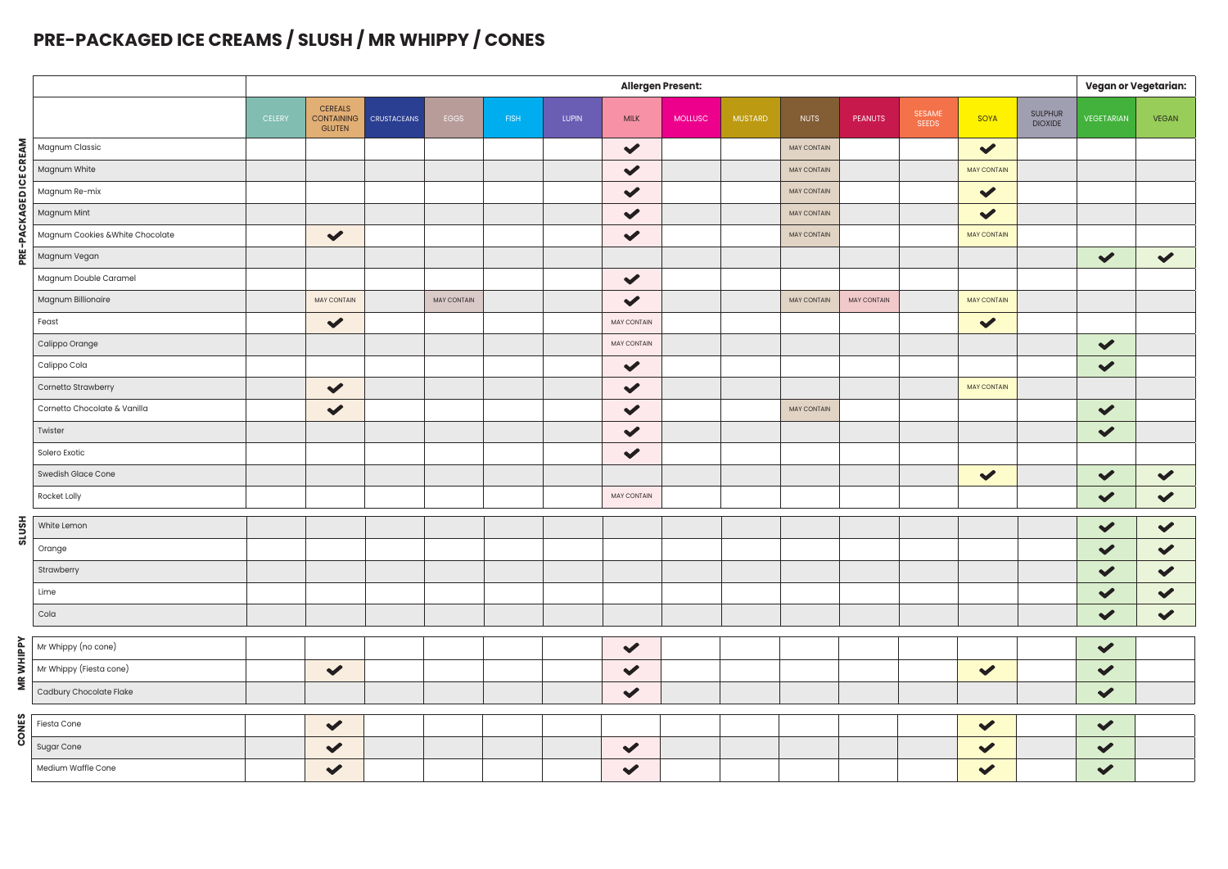## **PRE-PACKAGED ICE CREAMS / SLUSH / MR WHIPPY / CONES**

|                        |                                         | <b>Allergen Present:</b> |                                        |                    |             |      |       |                      |                |                |                    |                |                 |                      | <b>Vegan or Vegetarian:</b> |                      |                      |
|------------------------|-----------------------------------------|--------------------------|----------------------------------------|--------------------|-------------|------|-------|----------------------|----------------|----------------|--------------------|----------------|-----------------|----------------------|-----------------------------|----------------------|----------------------|
|                        |                                         | <b>CELERY</b>            | <b>CEREALS</b><br>CONTAINING<br>GLUTEN | <b>CRUSTACEANS</b> | EGGS        | FISH | LUPIN | <b>MILK</b>          | <b>MOLLUSC</b> | <b>MUSTARD</b> | <b>NUTS</b>        | <b>PEANUTS</b> | SESAME<br>SEEDS | SOYA                 | SULPHUR<br><b>DIOXIDE</b>   | <b>VEGETARIAN</b>    | <b>VEGAN</b>         |
|                        | Magnum Classic                          |                          |                                        |                    |             |      |       | $\blacktriangledown$ |                |                | MAY CONTAIN        |                |                 | $\blacktriangledown$ |                             |                      |                      |
| PRE-PACKAGED ICE CREAM | Magnum White                            |                          |                                        |                    |             |      |       | $\blacktriangledown$ |                |                | MAY CONTAIN        |                |                 | MAY CONTAIN          |                             |                      |                      |
|                        | Magnum Re-mix                           |                          |                                        |                    |             |      |       | $\blacktriangledown$ |                |                | MAY CONTAIN        |                |                 | $\blacktriangledown$ |                             |                      |                      |
|                        | Magnum Mint                             |                          |                                        |                    |             |      |       | $\checkmark$         |                |                | MAY CONTAIN        |                |                 | $\checkmark$         |                             |                      |                      |
|                        | Magnum Cookies & White Chocolate        |                          | $\checkmark$                           |                    |             |      |       | $\blacktriangledown$ |                |                | <b>MAY CONTAIN</b> |                |                 | <b>MAY CONTAIN</b>   |                             |                      |                      |
|                        | Magnum Vegan                            |                          |                                        |                    |             |      |       |                      |                |                |                    |                |                 |                      |                             | $\checkmark$         | $\checkmark$         |
|                        | Magnum Double Caramel                   |                          |                                        |                    |             |      |       | $\checkmark$         |                |                |                    |                |                 |                      |                             |                      |                      |
|                        | Magnum Billionaire                      |                          | MAY CONTAIN                            |                    | MAY CONTAIN |      |       | $\blacktriangledown$ |                |                | <b>MAY CONTAIN</b> | MAY CONTAIN    |                 | <b>MAY CONTAIN</b>   |                             |                      |                      |
|                        | Feast                                   |                          | $\checkmark$                           |                    |             |      |       | MAY CONTAIN          |                |                |                    |                |                 | $\checkmark$         |                             |                      |                      |
|                        | Calippo Orange                          |                          |                                        |                    |             |      |       | MAY CONTAIN          |                |                |                    |                |                 |                      |                             | $\checkmark$         |                      |
|                        | Calippo Cola                            |                          |                                        |                    |             |      |       | $\blacktriangledown$ |                |                |                    |                |                 |                      |                             | $\checkmark$         |                      |
|                        | Cornetto Strawberry                     |                          | $\checkmark$                           |                    |             |      |       | $\checkmark$         |                |                |                    |                |                 | <b>MAY CONTAIN</b>   |                             |                      |                      |
|                        | Cornetto Chocolate & Vanilla            |                          | $\checkmark$                           |                    |             |      |       | $\blacktriangledown$ |                |                | <b>MAY CONTAIN</b> |                |                 |                      |                             | $\checkmark$         |                      |
|                        | Twister                                 |                          |                                        |                    |             |      |       | $\checkmark$         |                |                |                    |                |                 |                      |                             | $\checkmark$         |                      |
|                        | Solero Exotic                           |                          |                                        |                    |             |      |       | $\blacktriangledown$ |                |                |                    |                |                 |                      |                             |                      |                      |
|                        | Swedish Glace Cone                      |                          |                                        |                    |             |      |       |                      |                |                |                    |                |                 | $\blacktriangledown$ |                             | $\blacktriangledown$ | $\blacktriangledown$ |
|                        | Rocket Lolly                            |                          |                                        |                    |             |      |       | MAY CONTAIN          |                |                |                    |                |                 |                      |                             | $\blacktriangledown$ | $\checkmark$         |
|                        | White Lemon                             |                          |                                        |                    |             |      |       |                      |                |                |                    |                |                 |                      |                             | $\checkmark$         | $\checkmark$         |
| <b>HSN1S</b>           | Orange                                  |                          |                                        |                    |             |      |       |                      |                |                |                    |                |                 |                      |                             | $\checkmark$         | $\blacktriangledown$ |
|                        | Strawberry                              |                          |                                        |                    |             |      |       |                      |                |                |                    |                |                 |                      |                             | $\checkmark$         | $\checkmark$         |
|                        | Lime                                    |                          |                                        |                    |             |      |       |                      |                |                |                    |                |                 |                      |                             | $\blacktriangledown$ | $\checkmark$         |
|                        | Cola                                    |                          |                                        |                    |             |      |       |                      |                |                |                    |                |                 |                      |                             | $\checkmark$         | $\checkmark$         |
|                        |                                         |                          |                                        |                    |             |      |       |                      |                |                |                    |                |                 |                      |                             |                      |                      |
|                        | Mr Whippy (no cone)                     |                          |                                        |                    |             |      |       | $\checkmark$         |                |                |                    |                |                 |                      |                             | $\blacktriangledown$ |                      |
| <b>MRWHIPPY</b>        | Mr Whippy (Fiesta cone)                 |                          | $\checkmark$                           |                    |             |      |       | $\checkmark$         |                |                |                    |                |                 | $\checkmark$         |                             | $\checkmark$         |                      |
|                        | Cadbury Chocolate Flake                 |                          |                                        |                    |             |      |       | $\checkmark$         |                |                |                    |                |                 |                      |                             | $\blacktriangledown$ |                      |
|                        | Fiesta Cone                             |                          | $\checkmark$                           |                    |             |      |       |                      |                |                |                    |                |                 | $\blacktriangledown$ |                             | $\blacktriangledown$ |                      |
| <b>CONES</b>           |                                         |                          | $\checkmark$                           |                    |             |      |       | $\checkmark$         |                |                |                    |                |                 | $\blacktriangledown$ |                             | $\blacktriangledown$ |                      |
|                        | <b>Sugar Cone</b><br>Medium Waffle Cone |                          | $\checkmark$                           |                    |             |      |       | $\checkmark$         |                |                |                    |                |                 | $\checkmark$         |                             | $\checkmark$         |                      |
|                        |                                         |                          |                                        |                    |             |      |       |                      |                |                |                    |                |                 |                      |                             |                      |                      |